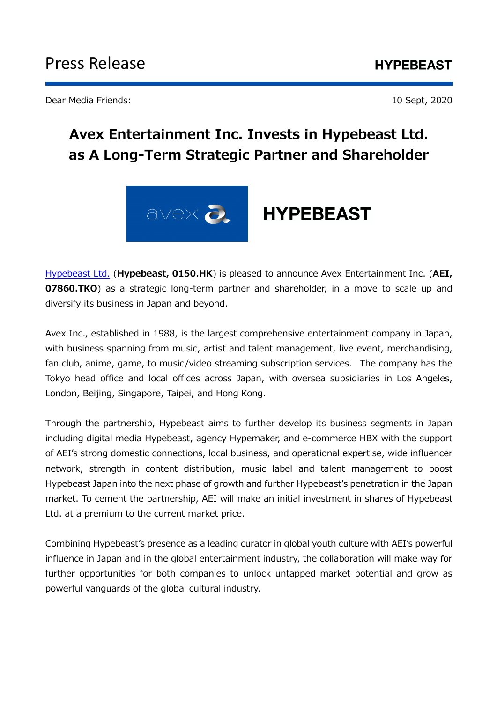Dear Media Friends: 10 Sept, 2020

# **Avex Entertainment Inc. Invests in Hypebeast Ltd. as A Long-Term Strategic Partner and Shareholder**



[Hypebeast Ltd.](https://hypebeast.ltd/) (**Hypebeast, 0150.HK**) is pleased to announce Avex Entertainment Inc. (**AEI, 07860.TKO**) as a strategic long-term partner and shareholder, in a move to scale up and diversify its business in Japan and beyond.

Avex Inc., established in 1988, is the largest comprehensive entertainment company in Japan, with business spanning from music, artist and talent management, live event, merchandising, fan club, anime, game, to music/video streaming subscription services. The company has the Tokyo head office and local offices across Japan, with oversea subsidiaries in Los Angeles, London, Beijing, Singapore, Taipei, and Hong Kong.

Through the partnership, Hypebeast aims to further develop its business segments in Japan including digital media Hypebeast, agency Hypemaker, and e-commerce HBX with the support of AEI's strong domestic connections, local business, and operational expertise, wide influencer network, strength in content distribution, music label and talent management to boost Hypebeast Japan into the next phase of growth and further Hypebeast's penetration in the Japan market. To cement the partnership, AEI will make an initial investment in shares of Hypebeast Ltd. at a premium to the current market price.

Combining Hypebeast's presence as a leading curator in global youth culture with AEI's powerful influence in Japan and in the global entertainment industry, the collaboration will make way for further opportunities for both companies to unlock untapped market potential and grow as powerful vanguards of the global cultural industry.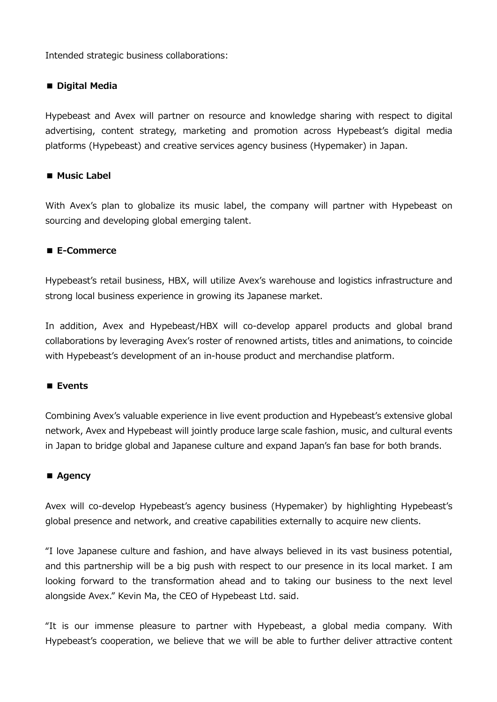Intended strategic business collaborations:

### **■ Digital Media**

Hypebeast and Avex will partner on resource and knowledge sharing with respect to digital advertising, content strategy, marketing and promotion across Hypebeast's digital media platforms (Hypebeast) and creative services agency business (Hypemaker) in Japan.

### ■ Music Label

With Avex's plan to globalize its music label, the company will partner with Hypebeast on sourcing and developing global emerging talent.

## **■ E-Commerce**

Hypebeast's retail business, HBX, will utilize Avex's warehouse and logistics infrastructure and strong local business experience in growing its Japanese market.

In addition, Avex and Hypebeast/HBX will co-develop apparel products and global brand collaborations by leveraging Avex's roster of renowned artists, titles and animations, to coincide with Hypebeast's development of an in-house product and merchandise platform.

#### **■ Events**

Combining Avex's valuable experience in live event production and Hypebeast's extensive global network, Avex and Hypebeast will jointly produce large scale fashion, music, and cultural events in Japan to bridge global and Japanese culture and expand Japan's fan base for both brands.

#### **■ Agency**

Avex will co-develop Hypebeast's agency business (Hypemaker) by highlighting Hypebeast's global presence and network, and creative capabilities externally to acquire new clients.

"I love Japanese culture and fashion, and have always believed in its vast business potential, and this partnership will be a big push with respect to our presence in its local market. I am looking forward to the transformation ahead and to taking our business to the next level alongside Avex." Kevin Ma, the CEO of Hypebeast Ltd. said.

"It is our immense pleasure to partner with Hypebeast, a global media company. With Hypebeast's cooperation, we believe that we will be able to further deliver attractive content